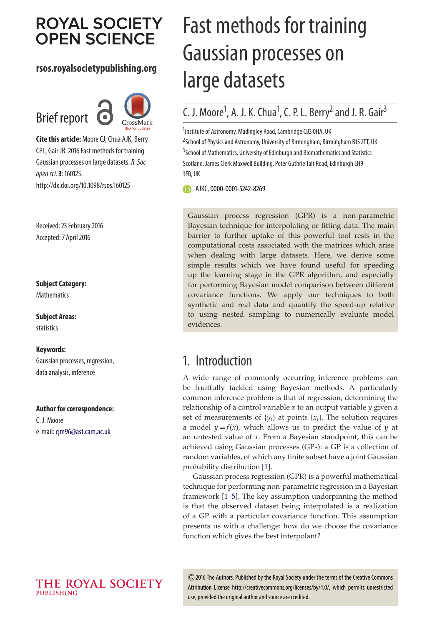# **ROYAL SOCIETY OPEN SCIENCE**

## **rsos.royalsocietypublishing.org**





**Cite this article:** Moore CJ, Chua AJK, Berry CPL, Gair JR. 2016 Fast methods for training Gaussian processes on large datasets. R. Soc. open sci.**3**: 160125. http://dx.doi.org/10.1098/rsos.160125

Received: 23 February 2016 Accepted: 7 April 2016

## **Subject Category:**

**Mathematics** 

**Subject Areas:** statistics

#### **Keywords:**

Gaussian processes, regression, data analysis, inference

#### **Author for correspondence:**

C. J. Moore e-mail: [cjm96@ast.cam.ac.uk](mailto:cjm96@ast.cam.ac.uk)

# Fast methods for training Gaussian processes on large datasets

## C. J. Moore<sup>1</sup>, A. J. K. Chua<sup>1</sup>, C. P. L. Berry<sup>2</sup> and J. R. Gair<sup>3</sup>

<sup>1</sup>Institute of Astronomy, Madingley Road, Cambridge CB3 0HA, UK <sup>2</sup>School of Physics and Astronomy, University of Birmingham, Birmingham B15 2TT, UK <sup>3</sup> School of Mathematics, University of Edinburgh and Biomathematics and Statistics Scotland, James Clerk Maxwell Building, Peter Guthrie Tait Road, Edinburgh EH9 3FD, UK

**b** AJKC, [0000-0001-5242-8269](http://orcid.org/0000-0001-5242-8269)

Gaussian process regression (GPR) is a non-parametric Bayesian technique for interpolating or fitting data. The main barrier to further uptake of this powerful tool rests in the computational costs associated with the matrices which arise when dealing with large datasets. Here, we derive some simple results which we have found useful for speeding up the learning stage in the GPR algorithm, and especially for performing Bayesian model comparison between different covariance functions. We apply our techniques to both synthetic and real data and quantify the speed-up relative to using nested sampling to numerically evaluate model evidences.

## 1. Introduction

A wide range of commonly occurring inference problems can be fruitfully tackled using Bayesian methods. A particularly common inference problem is that of regression; determining the relationship of a control variable *x* to an output variable *y* given a set of measurements of  $\{y_i\}$  at points  $\{x_i\}$ . The solution requires a model  $y = f(x)$ , which allows us to predict the value of *y* at an untested value of *x*. From a Bayesian standpoint, this can be achieved using Gaussian processes (GPs): a GP is a collection of random variables, of which any finite subset have a joint Gaussian probability distribution [\[1\]](#page-9-0).

Gaussian process regression (GPR) is a powerful mathematical technique for performing non-parametric regression in a Bayesian framework [\[1–](#page-9-0)[5\]](#page-9-1). The key assumption underpinning the method is that the observed dataset being interpolated is a realization of a GP with a particular covariance function. This assumption presents us with a challenge: how do we choose the covariance function which gives the best interpolant?

2016 The Authors. Published by the Royal Society under the terms of the Creative Commons Attribution License http://creativecommons.org/licenses/by/4.0/, which permits unrestricted use, provided the original author and source are credited.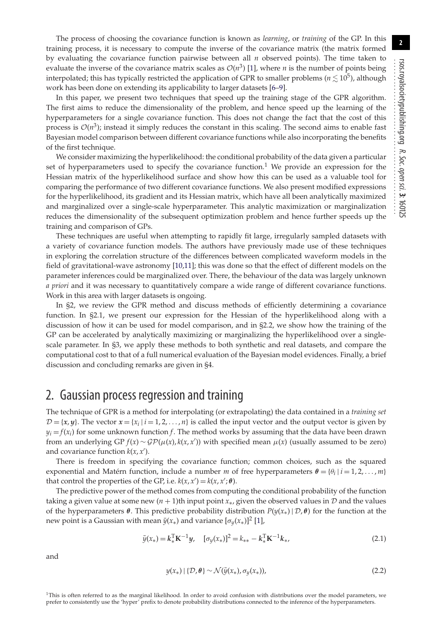**2**

The process of choosing the covariance function is known as *learning*, or *training* of the GP. In this training process, it is necessary to compute the inverse of the covariance matrix (the matrix formed by evaluating the covariance function pairwise between all *n* observed points). The time taken to evaluate the inverse of the covariance matrix scales as  $\mathcal{O}(n^3)$  [\[1\]](#page-9-0), where *n* is the number of points being interpolated; this has typically restricted the application of GPR to smaller problems ( $n\lesssim10^5$ ), although work has been done on extending its applicability to larger datasets [\[6–](#page-9-2)[9\]](#page-9-3).

In this paper, we present two techniques that speed up the training stage of the GPR algorithm. The first aims to reduce the dimensionality of the problem, and hence speed up the learning of the hyperparameters for a single covariance function. This does not change the fact that the cost of this process is  $\mathcal{O}(n^3)$ ; instead it simply reduces the constant in this scaling. The second aims to enable fast Bayesian model comparison between different covariance functions while also incorporating the benefits of the first technique.

We consider maximizing the hyperlikelihood: the conditional probability of the data given a particular set of hyperparameters used to specify the covariance function.<sup>1</sup> We provide an expression for the Hessian matrix of the hyperlikelihood surface and show how this can be used as a valuable tool for comparing the performance of two different covariance functions. We also present modified expressions for the hyperlikelihood, its gradient and its Hessian matrix, which have all been analytically maximized and marginalized over a single-scale hyperparameter. This analytic maximization or marginalization reduces the dimensionality of the subsequent optimization problem and hence further speeds up the training and comparison of GPs.

These techniques are useful when attempting to rapidly fit large, irregularly sampled datasets with a variety of covariance function models. The authors have previously made use of these techniques in exploring the correlation structure of the differences between complicated waveform models in the field of gravitational-wave astronomy [\[10,](#page-9-4)[11\]](#page-9-5); this was done so that the effect of different models on the parameter inferences could be marginalized over. There, the behaviour of the data was largely unknown *a priori* and it was necessary to quantitatively compare a wide range of different covariance functions. Work in this area with larger datasets is ongoing.

In §2, we review the GPR method and discuss methods of efficiently determining a covariance function. In §2.1, we present our expression for the Hessian of the hyperlikelihood along with a discussion of how it can be used for model comparison, and in §2.2, we show how the training of the GP can be accelerated by analytically maximizing or marginalizing the hyperlikelihood over a singlescale parameter. In §3, we apply these methods to both synthetic and real datasets, and compare the computational cost to that of a full numerical evaluation of the Bayesian model evidences. Finally, a brief discussion and concluding remarks are given in §4.

## 2. Gaussian process regression and training

The technique of GPR is a method for interpolating (or extrapolating) the data contained in a *training set*  $D = \{x, y\}$ . The vector  $x = \{x_i | i = 1, 2, ..., n\}$  is called the input vector and the output vector is given by  $y_i = f(x_i)$  for some unknown function *f*. The method works by assuming that the data have been drawn from an underlying  $GP f(x) \sim GP(\mu(x), k(x, x'))$  with specified mean  $\mu(x)$  (usually assumed to be zero) and covariance function  $k(x, x')$ .

There is freedom in specifying the covariance function; common choices, such as the squared exponential and Matérn function, include a number *m* of free hyperparameters  $\theta = {\theta_i | i = 1, 2, ..., m}$ that control the properties of the GP, i.e.  $k(x, x') = k(x, x'; \theta)$ .

The predictive power of the method comes from computing the conditional probability of the function taking a given value at some new  $(n + 1)$ th input point  $x<sub>*</sub>$ , given the observed values in  $D$  and the values of the hyperparameters  $\theta$ . This predictive probability distribution  $P(y(x_*) | \mathcal{D}, \theta)$  for the function at the new point is a Gaussian with mean  $\bar{y}(x_*)$  and variance  $[\sigma_y(x_*)]^2$  [\[1\]](#page-9-0),

$$
\bar{y}(x_*) = k_*^{\mathrm{T}} \mathbf{K}^{-1} y, \quad [\sigma_y(x_*)]^2 = k_{**} - k_*^{\mathrm{T}} \mathbf{K}^{-1} k_*, \tag{2.1}
$$

and

$$
y(x_*) | \{ \mathcal{D}, \theta \} \sim \mathcal{N}(\bar{y}(x_*), \sigma_y(x_*)), \tag{2.2}
$$

<sup>1</sup>This is often referred to as the marginal likelihood. In order to avoid confusion with distributions over the model parameters, we prefer to consistently use the 'hyper' prefix to denote probability distributions connected to the inference of the hyperparameters.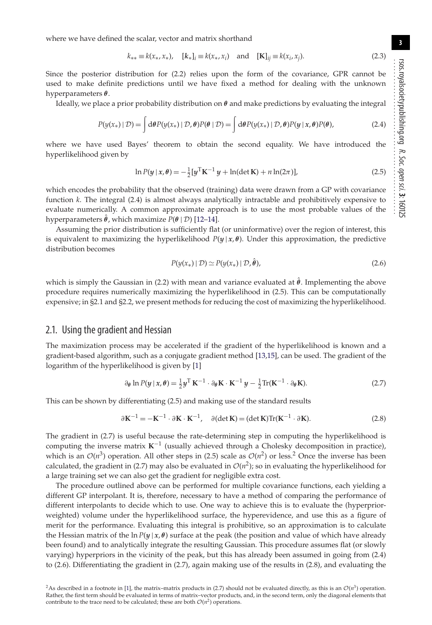rsos.royalsocietypublishing.org R. Soc. open sci. **3**: 160125 ................................................

**3**

where we have defined the scalar, vector and matrix shorthand

$$
k_{**} \equiv k(x_*, x_*), \quad [k_*]_i \equiv k(x_*, x_i) \quad \text{and} \quad [K]_{ij} \equiv k(x_i, x_j). \tag{2.3}
$$

Since the posterior distribution for (2.2) relies upon the form of the covariance, GPR cannot be used to make definite predictions until we have fixed a method for dealing with the unknown hyperparameters *θ*.

Ideally, we place a prior probability distribution on *θ* and make predictions by evaluating the integral

$$
P(y(x_{*}) \mid \mathcal{D}) = \int d\theta P(y(x_{*}) \mid \mathcal{D}, \theta) P(\theta \mid \mathcal{D}) = \int d\theta P(y(x_{*}) \mid \mathcal{D}, \theta) P(y \mid x, \theta) P(\theta), \tag{2.4}
$$

where we have used Bayes' theorem to obtain the second equality. We have introduced the hyperlikelihood given by

$$
\ln P(y \mid x, \theta) = -\frac{1}{2} [y^{\mathrm{T}} K^{-1} y + \ln(\det K) + n \ln(2\pi)],
$$
\n(2.5)

which encodes the probability that the observed (training) data were drawn from a GP with covariance function *k*. The integral (2.4) is almost always analytically intractable and prohibitively expensive to evaluate numerically. A common approximate approach is to use the most probable values of the hyperparameters  $\hat{\theta}$ , which maximize  $P(\theta | \mathcal{D})$  [\[12–](#page-9-6)[14\]](#page-9-7).

Assuming the prior distribution is sufficiently flat (or uninformative) over the region of interest, this is equivalent to maximizing the hyperlikelihood  $P(y | x, \theta)$ . Under this approximation, the predictive distribution becomes

$$
P(y(x_*) \mid \mathcal{D}) \simeq P(y(x_*) \mid \mathcal{D}, \hat{\theta}), \tag{2.6}
$$

which is simply the Gaussian in (2.2) with mean and variance evaluated at  $\hat{\theta}$ . Implementing the above procedure requires numerically maximizing the hyperlikelihood in (2.5). This can be computationally expensive; in §2.1 and §2.2, we present methods for reducing the cost of maximizing the hyperlikelihood.

#### 2.1. Using the gradient and Hessian

The maximization process may be accelerated if the gradient of the hyperlikelihood is known and a gradient-based algorithm, such as a conjugate gradient method [\[13,](#page-9-8)[15\]](#page-9-9), can be used. The gradient of the logarithm of the hyperlikelihood is given by [\[1\]](#page-9-0)

$$
\partial_{\theta} \ln P(y \mid x, \theta) = \frac{1}{2} y^{\mathrm{T}} \, \mathbf{K}^{-1} \cdot \partial_{\theta} \mathbf{K} \cdot \mathbf{K}^{-1} \, y - \frac{1}{2} \mathrm{Tr}(\mathbf{K}^{-1} \cdot \partial_{\theta} \mathbf{K}). \tag{2.7}
$$

This can be shown by differentiating (2.5) and making use of the standard results

$$
\partial \mathbf{K}^{-1} = -\mathbf{K}^{-1} \cdot \partial \mathbf{K} \cdot \mathbf{K}^{-1}, \quad \partial (\det \mathbf{K}) = (\det \mathbf{K}) \text{Tr}(\mathbf{K}^{-1} \cdot \partial \mathbf{K}). \tag{2.8}
$$

The gradient in (2.7) is useful because the rate-determining step in computing the hyperlikelihood is computing the inverse matrix **K**−<sup>1</sup> (usually achieved through a Cholesky decomposition in practice), which is an  $\mathcal{O}(n^3)$  operation. All other steps in (2.5) scale as  $\mathcal{O}(n^2)$  or less.<sup>2</sup> Once the inverse has been calculated, the gradient in (2.7) may also be evaluated in  $O(n^2)$ ; so in evaluating the hyperlikelihood for a large training set we can also get the gradient for negligible extra cost.

The procedure outlined above can be performed for multiple covariance functions, each yielding a different GP interpolant. It is, therefore, necessary to have a method of comparing the performance of different interpolants to decide which to use. One way to achieve this is to evaluate the (hyperpriorweighted) volume under the hyperlikelihood surface, the hyperevidence, and use this as a figure of merit for the performance. Evaluating this integral is prohibitive, so an approximation is to calculate the Hessian matrix of the  $\ln P(y|x, \theta)$  surface at the peak (the position and value of which have already been found) and to analytically integrate the resulting Gaussian. This procedure assumes flat (or slowly varying) hyperpriors in the vicinity of the peak, but this has already been assumed in going from (2.4) to (2.6). Differentiating the gradient in (2.7), again making use of the results in (2.8), and evaluating the

<sup>&</sup>lt;sup>2</sup>As described in a footnote in [\[1\]](#page-9-0), the matrix–matrix products in (2.7) should not be evaluated directly, as this is an  $\mathcal{O}(n^3)$  operation. Rather, the first term should be evaluated in terms of matrix–vector products, and, in the second term, only the diagonal elements that contribute to the trace need to be calculated; these are both  $O(n^2)$  operations.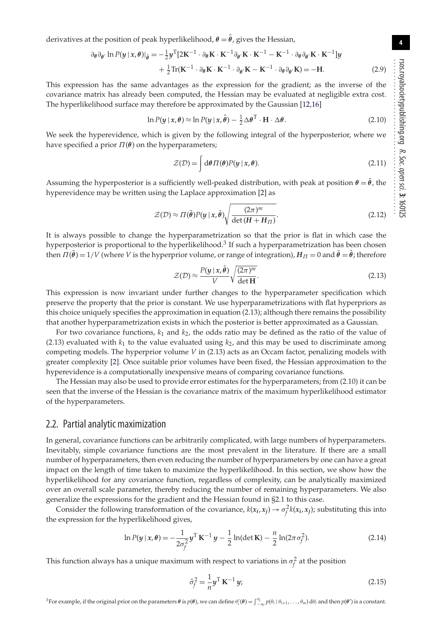**4**

derivatives at the position of peak hyperlikelihood,  $\theta = \hat{\theta}$ , gives the Hessian,

$$
\partial_{\theta} \partial_{\theta'} \ln P(y | x, \theta)|_{\hat{\theta}} = -\frac{1}{2} y^{\mathrm{T}} [2\mathbf{K}^{-1} \cdot \partial_{\theta} \mathbf{K} \cdot \mathbf{K}^{-1} \partial_{\theta'} \mathbf{K} \cdot \mathbf{K}^{-1} - \mathbf{K}^{-1} \cdot \partial_{\theta} \partial_{\theta'} \mathbf{K} \cdot \mathbf{K}^{-1}] y + \frac{1}{2} \mathrm{Tr}(\mathbf{K}^{-1} \cdot \partial_{\theta} \mathbf{K} \cdot \mathbf{K}^{-1} \cdot \partial_{\theta'} \mathbf{K} - \mathbf{K}^{-1} \cdot \partial_{\theta} \partial_{\theta'} \mathbf{K}) = -\mathbf{H}.
$$
 (2.9)

This expression has the same advantages as the expression for the gradient; as the inverse of the covariance matrix has already been computed, the Hessian may be evaluated at negligible extra cost. The hyperlikelihood surface may therefore be approximated by the Gaussian [\[12,](#page-9-6)[16\]](#page-9-10)

$$
\ln P(y \mid x, \theta) \approx \ln P(y \mid x, \hat{\theta}) - \frac{1}{2} \Delta \theta^{\mathrm{T}} \cdot \mathbf{H} \cdot \Delta \theta.
$$
 (2.10)

We seek the hyperevidence, which is given by the following integral of the hyperposterior, where we have specified a prior  $\Pi(\theta)$  on the hyperparameters;

$$
\mathcal{Z}(\mathcal{D}) = \int d\theta \, \Pi(\theta) P(y \mid x, \theta). \tag{2.11}
$$

Assuming the hyperposterior is a sufficiently well-peaked distribution, with peak at position  $\theta = \tilde{\theta}$ , the hyperevidence may be written using the Laplace approximation [\[2\]](#page-9-11) as

$$
\mathcal{Z}(\mathcal{D}) \approx \Pi(\tilde{\theta}) P(y \mid x, \tilde{\theta}) \sqrt{\frac{(2\pi)^m}{\det(H + H_{\Pi})}}.
$$
\n(2.12)

It is always possible to change the hyperparametrization so that the prior is flat in which case the hyperposterior is proportional to the hyperlikelihood.<sup>3</sup> If such a hyperparametrization has been chosen then  $\Pi(\tilde{\theta}) = 1/V$  (where *V* is the hyperprior volume, or range of integration),  $H_{\Pi} = 0$  and  $\tilde{\theta} = \hat{\theta}$ ; therefore

$$
\mathcal{Z}(\mathcal{D}) \approx \frac{P(y \mid x, \hat{\theta})}{V} \sqrt{\frac{(2\pi)^m}{\det \mathbf{H}}}.
$$
\n(2.13)

This expression is now invariant under further changes to the hyperparameter specification which preserve the property that the prior is constant. We use hyperparametrizations with flat hyperpriors as this choice uniquely specifies the approximation in equation (2.13); although there remains the possibility that another hyperparametrization exists in which the posterior is better approximated as a Gaussian.

For two covariance functions,  $k_1$  and  $k_2$ , the odds ratio may be defined as the ratio of the value of (2.13) evaluated with  $k_1$  to the value evaluated using  $k_2$ , and this may be used to discriminate among competing models. The hyperprior volume *V* in (2.13) acts as an Occam factor, penalizing models with greater complexity [\[2\]](#page-9-11). Once suitable prior volumes have been fixed, the Hessian approximation to the hyperevidence is a computationally inexpensive means of comparing covariance functions.

The Hessian may also be used to provide error estimates for the hyperparameters; from (2.10) it can be seen that the inverse of the Hessian is the covariance matrix of the maximum hyperlikelihood estimator of the hyperparameters.

#### 2.2. Partial analytic maximization

In general, covariance functions can be arbitrarily complicated, with large numbers of hyperparameters. Inevitably, simple covariance functions are the most prevalent in the literature. If there are a small number of hyperparameters, then even reducing the number of hyperparameters by one can have a great impact on the length of time taken to maximize the hyperlikelihood. In this section, we show how the hyperlikelihood for any covariance function, regardless of complexity, can be analytically maximized over an overall scale parameter, thereby reducing the number of remaining hyperparameters. We also generalize the expressions for the gradient and the Hessian found in §2.1 to this case.

Consider the following transformation of the covariance,  $k(x_i, x_j) \rightarrow \sigma_f^2 k(x_i, x_j)$ ; substituting this into the expression for the hyperlikelihood gives,

$$
\ln P(y \mid x, \theta) = -\frac{1}{2\sigma_f^2} y^{\mathrm{T}} \, \mathbf{K}^{-1} \, y - \frac{1}{2} \ln(\det \mathbf{K}) - \frac{n}{2} \ln(2\pi \sigma_f^2). \tag{2.14}
$$

This function always has a unique maximum with respect to variations in  $\sigma_f^2$  at the position

$$
\hat{\sigma}_f^2 = \frac{1}{n} \mathbf{y}^\mathrm{T} \, \mathbf{K}^{-1} \, \mathbf{y};\tag{2.15}
$$

<sup>3</sup>For example, if the original prior on the parameters  $\theta$  is  $p(\theta)$ , we can define  $\theta'_i(\theta) = \int_{-\infty}^{\theta_i} p(\theta_i | \theta_{i+1}, \dots, \theta_m) d\theta_i$  and then  $p(\theta')$  is a constant.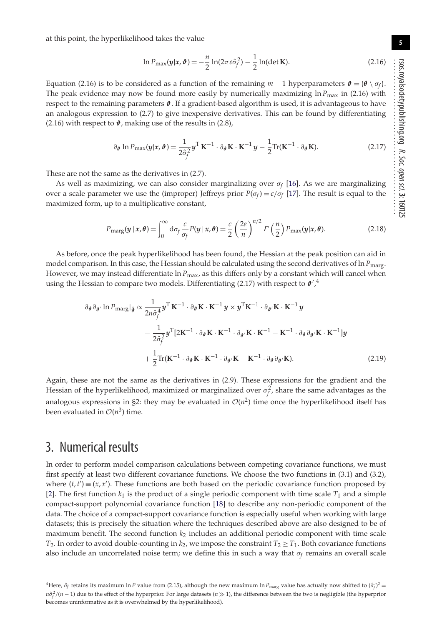at this point, the hyperlikelihood takes the value

$$
\ln P_{\max}(y|x, \vartheta) = -\frac{n}{2} \ln(2\pi e \hat{\sigma}_f^2) - \frac{1}{2} \ln(\det \mathbf{K}).
$$
 (2.16)

Equation (2.16) is to be considered as a function of the remaining  $m - 1$  hyperparameters  $\mathbf{\hat{v}} = {\theta \setminus \sigma_f}$ . The peak evidence may now be found more easily by numerically maximizing  $\ln P_{\text{max}}$  in (2.16) with respect to the remaining parameters *ϑ*. If a gradient-based algorithm is used, it is advantageous to have an analogous expression to (2.7) to give inexpensive derivatives. This can be found by differentiating (2.16) with respect to  $\mathbf{\hat{v}}$ , making use of the results in (2.8),

$$
\partial_{\theta} \ln P_{\max}(y|x, \vartheta) = \frac{1}{2\hat{\sigma}_{f}^{2}} y^{\mathrm{T}} \mathbf{K}^{-1} \cdot \partial_{\theta} \mathbf{K} \cdot \mathbf{K}^{-1} y - \frac{1}{2} \mathrm{Tr}(\mathbf{K}^{-1} \cdot \partial_{\theta} \mathbf{K}).
$$
 (2.17)

These are not the same as the derivatives in (2.7).

As well as maximizing, we can also consider marginalizing over  $\sigma_f$  [\[16\]](#page-9-10). As we are marginalizing over a scale parameter we use the (improper) Jeffreys prior  $P(\sigma_f) = c/\sigma_f$  [\[17\]](#page-9-12). The result is equal to the maximized form, up to a multiplicative constant,

$$
P_{\text{marg}}(y \mid x, \theta) = \int_0^\infty d\sigma_f \frac{c}{\sigma_f} P(y \mid x, \theta) = \frac{c}{2} \left(\frac{2e}{n}\right)^{n/2} \Gamma\left(\frac{n}{2}\right) P_{\text{max}}(y \mid x, \theta). \tag{2.18}
$$

As before, once the peak hyperlikelihood has been found, the Hessian at the peak position can aid in model comparison. In this case, the Hessian should be calculated using the second derivatives of ln *P*<sub>marg</sub>. However, we may instead differentiate ln  $P_{\text{max}}$ , as this differs only by a constant which will cancel when using the Hessian to compare two models. Differentiating (2.17) with respect to  $\mathbf{\hat{v}}'$ ,<sup>4</sup>

$$
\partial_{\theta} \partial_{\theta'} \ln P_{\text{marg}}|_{\hat{\theta}} \propto \frac{1}{2n \hat{\sigma}_{f}^{4}} y^{\text{T}} \mathbf{K}^{-1} \cdot \partial_{\theta} \mathbf{K} \cdot \mathbf{K}^{-1} y \times y^{\text{T}} \mathbf{K}^{-1} \cdot \partial_{\theta'} \mathbf{K} \cdot \mathbf{K}^{-1} y
$$

$$
- \frac{1}{2 \hat{\sigma}_{f}^{2}} y^{\text{T}} [2\mathbf{K}^{-1} \cdot \partial_{\theta} \mathbf{K} \cdot \mathbf{K}^{-1} \cdot \partial_{\theta'} \mathbf{K} \cdot \mathbf{K}^{-1} - \mathbf{K}^{-1} \cdot \partial_{\theta} \partial_{\theta'} \mathbf{K} \cdot \mathbf{K}^{-1}] y
$$

$$
+ \frac{1}{2} \text{Tr}(\mathbf{K}^{-1} \cdot \partial_{\theta} \mathbf{K} \cdot \mathbf{K}^{-1} \cdot \partial_{\theta'} \mathbf{K} - \mathbf{K}^{-1} \cdot \partial_{\theta} \partial_{\theta'} \mathbf{K}). \tag{2.19}
$$

Again, these are not the same as the derivatives in (2.9). These expressions for the gradient and the Hessian of the hyperlikelihood, maximized or marginalized over  $\sigma_f^2$ , share the same advantages as the analogous expressions in §2: they may be evaluated in  $\mathcal{O}(n^2)$  time once the hyperlikelihood itself has been evaluated in  $O(n^3)$  time.

## 3. Numerical results

In order to perform model comparison calculations between competing covariance functions, we must first specify at least two different covariance functions. We choose the two functions in (3.1) and (3.2), where  $(t, t') \equiv (x, x')$ . These functions are both based on the periodic covariance function proposed by [\[2\]](#page-9-11). The first function  $k_1$  is the product of a single periodic component with time scale  $T_1$  and a simple compact-support polynomial covariance function [\[18\]](#page-9-13) to describe any non-periodic component of the data. The choice of a compact-support covariance function is especially useful when working with large datasets; this is precisely the situation where the techniques described above are also designed to be of maximum benefit. The second function *k*<sup>2</sup> includes an additional periodic component with time scale *T*<sub>2</sub>. In order to avoid double-counting in  $k_2$ , we impose the constraint  $T_2 \geq T_1$ . Both covariance functions also include an uncorrelated noise term; we define this in such a way that  $\sigma_f$  remains an overall scale

**5**

R. Soc.

open

sci. **3**: 160125

<sup>&</sup>lt;sup>4</sup>Here,  $\hat{\sigma}_f$  retains its maximum ln *P* value from (2.15), although the new maximum ln  $P_{\text{marg}}$  value has actually now shifted to  $(\hat{\sigma}'_f)^2$ *nô<sub>f</sub>*  $/(n-1)$  due to the effect of the hyperprior. For large datasets (*n* ≫ 1), the difference between the two is negligible (the hyperprior becomes uninformative as it is overwhelmed by the hyperlikelihood).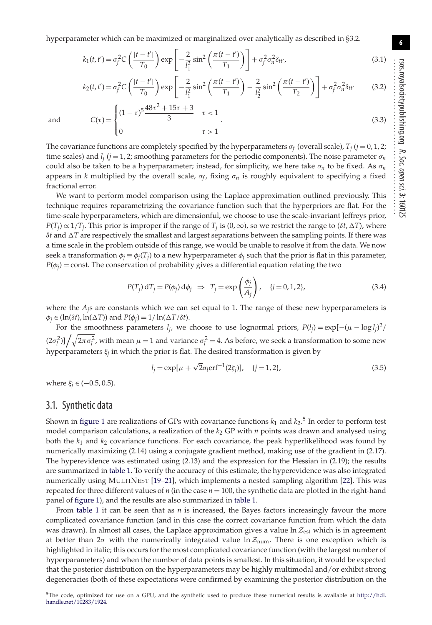$(1-\tau)^5 \frac{48\tau^2 + 15\tau + 3}{3}$   $\tau < 1$ 

$$
k_1(t, t') = \sigma_f^2 C \left( \frac{|t - t'|}{T_0} \right) \exp \left[ -\frac{2}{l_1^2} \sin^2 \left( \frac{\pi (t - t')}{T_1} \right) \right] + \sigma_f^2 \sigma_n^2 \delta_{tt'}, \tag{3.1}
$$

$$
k_2(t, t') = \sigma_f^2 C \left( \frac{|t - t'|}{T_0} \right) \exp \left[ -\frac{2}{l_1^2} \sin^2 \left( \frac{\pi (t - t')}{T_1} \right) - \frac{2}{l_2^2} \sin^2 \left( \frac{\pi (t - t')}{T_2} \right) \right] + \sigma_f^2 \sigma_n^2 \delta_{tt'} \tag{3.2}
$$

and  $C(\tau) =$  $\mathsf{l}$ 0  $\tau > 1$ .  $(3.3)$ The covariance functions are completely specified by the hyperparameters  $\sigma_f$  (overall scale),  $T_i$  ( $j = 0, 1, 2;$ time scales) and  $l_i$  ( $j = 1, 2$ ; smoothing parameters for the periodic components). The noise parameter  $\sigma_n$ could also be taken to be a hyperparameter; instead, for simplicity, we here take  $\sigma_n$  to be fixed. As  $\sigma_n$ appears in *k* multiplied by the overall scale,  $\sigma_f$ , fixing  $\sigma_n$  is roughly equivalent to specifying a fixed

fractional error.

 $\sqrt{2}$  $\int$ 

We want to perform model comparison using the Laplace approximation outlined previously. This technique requires reparametrizing the covariance function such that the hyperpriors are flat. For the time-scale hyperparameters, which are dimensionful, we choose to use the scale-invariant Jeffreys prior,  $P(T_i) \propto 1/T_i$ . This prior is improper if the range of *T<sub>j</sub>* is (0, ∞), so we restrict the range to ( $\delta t$ ,  $\Delta T$ ), where  $\delta t$  and  $\Delta T$  are respectively the smallest and largest separations between the sampling points. If there was a time scale in the problem outside of this range, we would be unable to resolve it from the data. We now seek a transformation  $\phi_j \equiv \phi_j(T_j)$  to a new hyperparameter  $\phi_j$  such that the prior is flat in this parameter,  $P(\phi_i)$  = const. The conservation of probability gives a differential equation relating the two

$$
P(T_j) dT_j = P(\phi_j) d\phi_j \Rightarrow T_j = \exp\left(\frac{\phi_j}{A_j}\right), \quad \{j = 0, 1, 2\},
$$
\n(3.4)

where the *A<sub>i</sub>*s are constants which we can set equal to 1. The range of these new hyperparameters is  $\phi_j \in (\ln(\delta t), \ln(\Delta T))$  and  $P(\phi_j) = 1/\ln(\Delta T/\delta t)$ .

For the smoothness parameters  $l_j$ , we choose to use lognormal priors,  $P(l_j) = \exp[-(\mu - \log l_j)^2]$  $(2\sigma_l^2)\frac{1}{\sqrt{2\pi\sigma_l^2}}$ , with mean  $\mu = 1$  and variance  $\sigma_l^2 = 4$ . As before, we seek a transformation to some new hyperparameters ξ*<sup>j</sup>* in which the prior is flat. The desired transformation is given by

$$
l_j = \exp[\mu + \sqrt{2}\sigma_l \text{erf}^{-1}(2\xi_j)], \quad \{j = 1, 2\},
$$
\n(3.5)

where  $\xi_i \in (-0.5, 0.5)$ .

#### 3.1. Synthetic data

Shown in [figure 1](#page-6-0) are realizations of GPs with covariance functions  $k_1$  and  $k_2$ .<sup>5</sup> In order to perform test model comparison calculations, a realization of the *k*<sup>2</sup> GP with *n* points was drawn and analysed using both the  $k_1$  and  $k_2$  covariance functions. For each covariance, the peak hyperlikelihood was found by numerically maximizing (2.14) using a conjugate gradient method, making use of the gradient in (2.17). The hyperevidence was estimated using (2.13) and the expression for the Hessian in (2.19); the results are summarized in [table 1.](#page-6-1) To verify the accuracy of this estimate, the hyperevidence was also integrated numerically using MULTINEST [\[19–](#page-9-14)[21\]](#page-9-15), which implements a nested sampling algorithm [\[22\]](#page-9-16). This was repeated for three different values of  $n$  (in the case  $n = 100$ , the synthetic data are plotted in the right-hand panel of [figure 1\)](#page-6-0), and the results are also summarized in [table 1.](#page-6-1)

From [table 1](#page-6-1) it can be seen that as  $n$  is increased, the Bayes factors increasingly favour the more complicated covariance function (and in this case the correct covariance function from which the data was drawn). In almost all cases, the Laplace approximation gives a value ln *Z*est which is in agreement at better than  $2\sigma$  with the numerically integrated value  $\ln \mathcal{Z}_{num}$ . There is one exception which is highlighted in italic; this occurs for the most complicated covariance function (with the largest number of hyperparameters) and when the number of data points is smallest. In this situation, it would be expected that the posterior distribution on the hyperparameters may be highly multimodal and/or exhibit strong degeneracies (both of these expectations were confirmed by examining the posterior distribution on the R. Soc.

open

sci. **3**: 160125

**6**

<sup>5</sup>The code, optimized for use on a GPU, and the synthetic used to produce these numerical results is available at [http://hdl.](http://hdl.handle.net/10283/1924) [handle.net/10283/1924.](http://hdl.handle.net/10283/1924)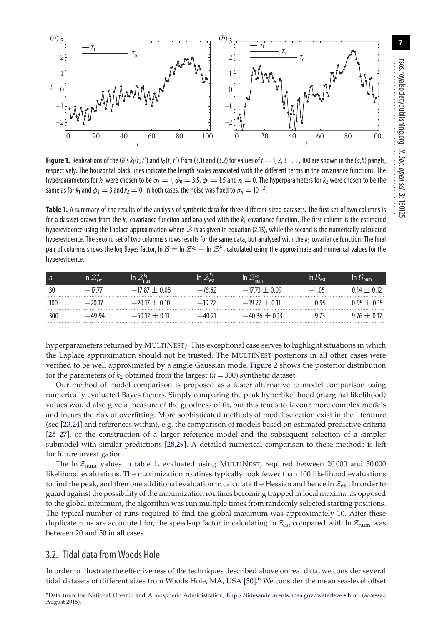

<span id="page-6-0"></span>**Figure 1.** Realizations of the GPs  $k_1(t, t')$  and  $k_2(t, t')$  from (3.1) and (3.2) for values of  $t = 1, 2, 3...$ , 100 are shown in the  $(a, b)$  panels, respectively. The horizontal black lines indicate the length scales associated with the different terms in the covariance functions. The hyperparameters for  $k_1$  were chosen to be  $\sigma_f = 1$ ,  $\phi_0 = 3.5$ ,  $\phi_1 = 1.5$  and  $x_1 = 0$ . The hyperparameters for  $k_2$  were chosen to be the same as for  $k_1$  and  $\phi_2 = 3$  and  $x_2 = 0$ . In both cases, the noise was fixed to  $\sigma_n = 10^{-2}$ . .

<span id="page-6-1"></span>**Table 1.** A summary of the results of the analysis of synthetic data for three different-sized datasets. The first set of two columns is for a dataset drawn from the  $k_2$  covariance function and analysed with the  $k_1$  covariance function. The first column is the estimated hyperevidence using the Laplace approximation where *Z* is as given in equation (2.13), while the second is the numerically calculated hyperevidence. The second set of two columns shows results for the same data, but analysed with the  $k_2$  covariance function. The final pair of columns shows the log Bayes factor, In  $\mathcal{B}$  ≡ In  $\mathcal{Z}^{k_2}$  — In  $\mathcal{Z}^{k_1}$ , calculated using the approximate and numerical values for the<br>. hyperevidence.

| n   |        | In<br>'num        |          | $\mathcal{Z}_{\text{num}}^{k_2}$ | $B_{\text{ext}}$<br>In. | $\lq \sigma \mathcal{B}_{\mathsf{num}}$ |
|-----|--------|-------------------|----------|----------------------------------|-------------------------|-----------------------------------------|
| 30  |        | $-17.87 \pm 0.08$ | $-1882$  | $-17.73 \pm 0.09$                | $-1.05$                 | 0 14 + 0 17                             |
| 100 | $-701$ | $-20.17 \pm 0.10$ | $-19.22$ | $-19.77 + 0.11$                  | 0.95                    | $195 + 015$                             |
| 300 | -49.94 | $-5012 + 011$     | $-40.71$ | $-40.36 + 0.13$                  |                         | $9/6 + 0.1/$                            |

hyperparameters returned by MULTINEST). This exceptional case serves to highlight situations in which the Laplace approximation should not be trusted. The MULTINEST posteriors in all other cases were verified to be well approximated by a single Gaussian mode. [Figure 2](#page-7-0) shows the posterior distribution for the parameters of  $k_2$  obtained from the largest ( $n = 300$ ) synthetic dataset.

Our method of model comparison is proposed as a faster alternative to model comparison using numerically evaluated Bayes factors. Simply comparing the peak hyperlikelihood (marginal likelihood) values would also give a measure of the goodness of fit, but this tends to favour more complex models and incurs the risk of overfitting. More sophisticated methods of model selection exist in the literature (see [\[23](#page-9-17)[,24\]](#page-9-18) and references within), e.g. the comparison of models based on estimated predictive criteria [\[25](#page-9-19)[–27\]](#page-9-20), or the construction of a larger reference model and the subsequent selection of a simpler submodel with similar predictions [\[28](#page-9-21)[,29\]](#page-9-22). A detailed numerical comparison to these methods is left for future investigation.

The ln  $\mathcal{Z}_{\text{num}}$  values in [table 1,](#page-6-1) evaluated using MULTINEST, required between 20000 and 50000 likelihood evaluations. The maximization routines typically took fewer than 100 likelihood evaluations to find the peak, and then one additional evaluation to calculate the Hessian and hence ln *Z*est. In order to guard against the possibility of the maximization routines becoming trapped in local maxima, as opposed to the global maximum, the algorithm was run multiple times from randomly selected starting positions. The typical number of runs required to find the global maximum was approximately 10. After these duplicate runs are accounted for, the speed-up factor in calculating ln  $\mathcal{Z}_{est}$  compared with ln  $\mathcal{Z}_{num}$  was between 20 and 50 in all cases.

### 3.2. Tidal data from Woods Hole

In order to illustrate the effectiveness of the techniques described above on real data, we consider several tidal datasets of different sizes from Woods Hole, MA, USA [\[30\]](#page-9-23).<sup>6</sup> We consider the mean sea-level offset

6Data from the National Oceanic and Atmospheric Administration, <http://tidesandcurrents.noaa.gov/waterlevels.html> (accessed August 2015).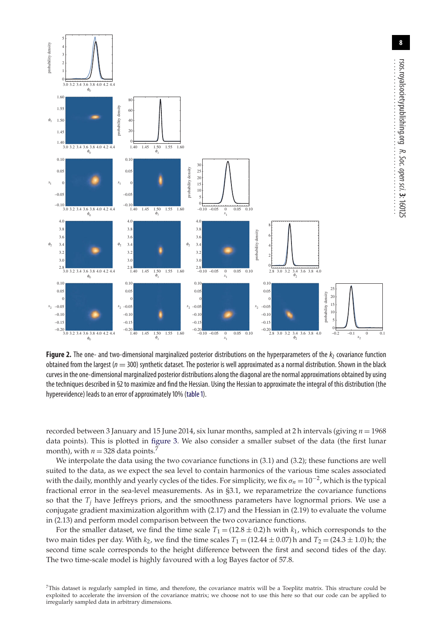

<span id="page-7-0"></span>**Figure 2.** The one- and two-dimensional marginalized posterior distributions on the hyperparameters of the  $k_2$  covariance function obtained from the largest ( $n = 300$ ) synthetic dataset. The posterior is well approximated as a normal distribution. Shown in the black curves in the one-dimensional marginalized posterior distributions along the diagonal are the normal approximations obtained by using the techniques described in §2 to maximize and find the Hessian. Using the Hessian to approximate the integral of this distribution (the hyperevidence) leads to an error of approximately 10% [\(table 1\)](#page-6-1).

recorded between 3 January and 15 June 2014, six lunar months, sampled at 2 h intervals (giving *n* = 1968 data points). This is plotted in [figure 3.](#page-8-0) We also consider a smaller subset of the data (the first lunar month), with  $n = 328$  data points.<sup>7</sup>

We interpolate the data using the two covariance functions in (3.1) and (3.2); these functions are well suited to the data, as we expect the sea level to contain harmonics of the various time scales associated with the daily, monthly and yearly cycles of the tides. For simplicity, we fix σ*<sup>n</sup>* = 10<sup>−</sup>2, which is the typical fractional error in the sea-level measurements. As in §3.1, we reparametrize the covariance functions so that the  $T_j$  have Jeffreys priors, and the smoothness parameters have lognormal priors. We use a conjugate gradient maximization algorithm with (2.17) and the Hessian in (2.19) to evaluate the volume in (2.13) and perform model comparison between the two covariance functions.

For the smaller dataset, we find the time scale  $T_1 = (12.8 \pm 0.2)$  h with  $k_1$ , which corresponds to the two main tides per day. With  $k_2$ , we find the time scales  $T_1 = (12.44 \pm 0.07)$  h and  $T_2 = (24.3 \pm 1.0)$  h; the second time scale corresponds to the height difference between the first and second tides of the day. The two time-scale model is highly favoured with a log Bayes factor of 57.8.

<sup>7</sup>This dataset is regularly sampled in time, and therefore, the covariance matrix will be a Toeplitz matrix. This structure could be exploited to accelerate the inversion of the covariance matrix; we choose not to use this here so that our code can be applied to irregularly sampled data in arbitrary dimensions.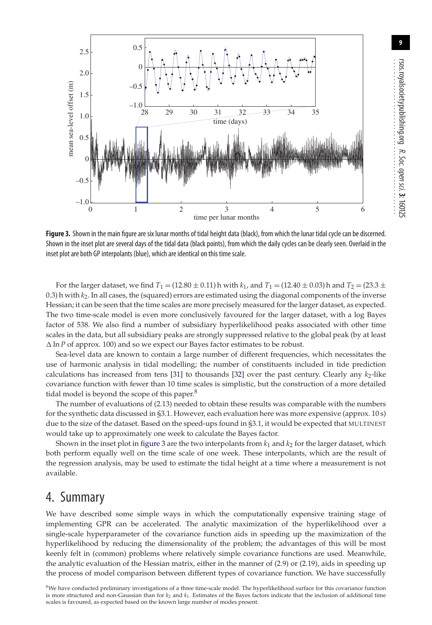

<span id="page-8-0"></span>**Figure 3.** Shown in the main figure are six lunar months of tidal height data (black), from which the lunar tidal cycle can be discerned. Shown in the inset plot are several days of the tidal data (black points), from which the daily cycles can be clearly seen. Overlaid in the inset plot are both GP interpolants (blue), which are identical on this time scale.

For the larger dataset, we find  $T_1 = (12.80 \pm 0.11)$  h with  $k_1$ , and  $T_1 = (12.40 \pm 0.03)$  h and  $T_2 = (23.3 \pm 0.03)$ 0.3) h with  $k_2$ . In all cases, the (squared) errors are estimated using the diagonal components of the inverse Hessian; it can be seen that the time scales are more precisely measured for the larger dataset, as expected. The two time-scale model is even more conclusively favoured for the larger dataset, with a log Bayes factor of 538. We also find a number of subsidiary hyperlikelihood peaks associated with other time scales in the data, but all subsidiary peaks are strongly suppressed relative to the global peak (by at least  $\Delta \ln P$  of approx. 100) and so we expect our Bayes factor estimates to be robust.

Sea-level data are known to contain a large number of different frequencies, which necessitates the use of harmonic analysis in tidal modelling; the number of constituents included in tide prediction calculations has increased from tens  $[31]$  to thousands  $[32]$  over the past century. Clearly any  $k<sub>2</sub>$ -like covariance function with fewer than 10 time scales is simplistic, but the construction of a more detailed tidal model is beyond the scope of this paper. $8$ 

The number of evaluations of (2.13) needed to obtain these results was comparable with the numbers for the synthetic data discussed in §3.1. However, each evaluation here was more expensive (approx. 10 s) due to the size of the dataset. Based on the speed-ups found in §3.1, it would be expected that MULTINEST would take up to approximately one week to calculate the Bayes factor.

Shown in the inset plot in [figure 3](#page-8-0) are the two interpolants from  $k_1$  and  $k_2$  for the larger dataset, which both perform equally well on the time scale of one week. These interpolants, which are the result of the regression analysis, may be used to estimate the tidal height at a time where a measurement is not available.

## 4. Summary

We have described some simple ways in which the computationally expensive training stage of implementing GPR can be accelerated. The analytic maximization of the hyperlikelihood over a single-scale hyperparameter of the covariance function aids in speeding up the maximization of the hyperlikelihood by reducing the dimensionality of the problem; the advantages of this will be most keenly felt in (common) problems where relatively simple covariance functions are used. Meanwhile, the analytic evaluation of the Hessian matrix, either in the manner of (2.9) or (2.19), aids in speeding up the process of model comparison between different types of covariance function. We have successfully

8We have conducted preliminary investigations of a three time-scale model. The hyperlikelihood surface for this covariance function is more structured and non-Gaussian than for *k*<sup>2</sup> and *k*1. Estimates of the Bayes factors indicate that the inclusion of additional time scales is favoured, as expected based on the known large number of modes present.